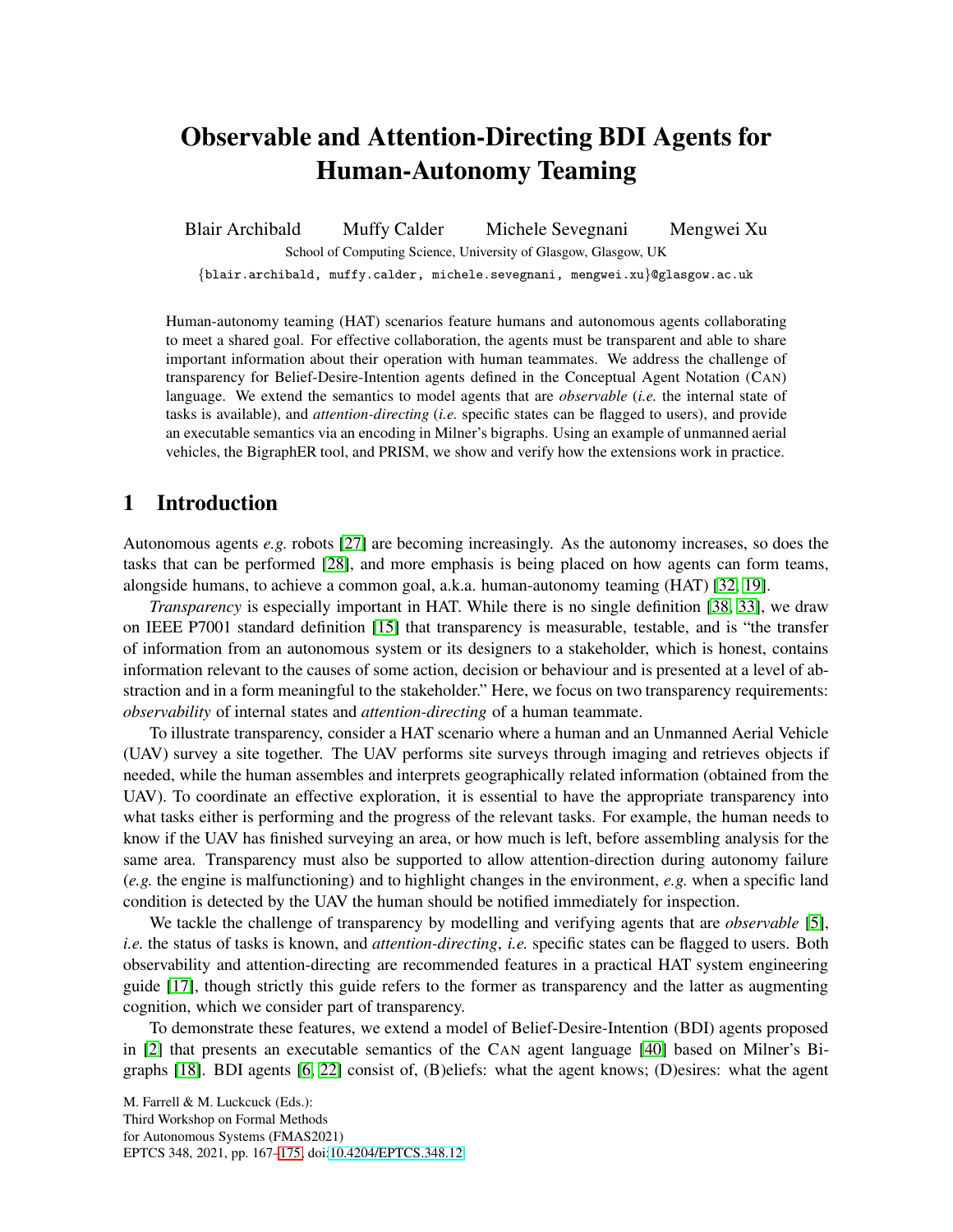# Observable and Attention-Directing BDI Agents for Human-Autonomy Teaming

Blair Archibald Muffy Calder Michele Sevegnani Mengwei Xu School of Computing Science, University of Glasgow, Glasgow, UK

{blair.archibald, muffy.calder, michele.sevegnani, mengwei.xu}@glasgow.ac.uk

Human-autonomy teaming (HAT) scenarios feature humans and autonomous agents collaborating to meet a shared goal. For effective collaboration, the agents must be transparent and able to share important information about their operation with human teammates. We address the challenge of transparency for Belief-Desire-Intention agents defined in the Conceptual Agent Notation (CAN) language. We extend the semantics to model agents that are *observable* (*i.e.* the internal state of tasks is available), and *attention-directing* (*i.e.* specific states can be flagged to users), and provide an executable semantics via an encoding in Milner's bigraphs. Using an example of unmanned aerial vehicles, the BigraphER tool, and PRISM, we show and verify how the extensions work in practice.

# 1 Introduction

Autonomous agents *e.g.* robots [\[27\]](#page-8-1) are becoming increasingly. As the autonomy increases, so does the tasks that can be performed [\[28\]](#page-8-2), and more emphasis is being placed on how agents can form teams, alongside humans, to achieve a common goal, a.k.a. human-autonomy teaming (HAT) [\[32,](#page-8-3) [19\]](#page-7-0).

*Transparency* is especially important in HAT. While there is no single definition [\[38,](#page-8-4) [33\]](#page-8-5), we draw on IEEE P7001 standard definition [\[15\]](#page-7-1) that transparency is measurable, testable, and is "the transfer of information from an autonomous system or its designers to a stakeholder, which is honest, contains information relevant to the causes of some action, decision or behaviour and is presented at a level of abstraction and in a form meaningful to the stakeholder." Here, we focus on two transparency requirements: *observability* of internal states and *attention-directing* of a human teammate.

To illustrate transparency, consider a HAT scenario where a human and an Unmanned Aerial Vehicle (UAV) survey a site together. The UAV performs site surveys through imaging and retrieves objects if needed, while the human assembles and interprets geographically related information (obtained from the UAV). To coordinate an effective exploration, it is essential to have the appropriate transparency into what tasks either is performing and the progress of the relevant tasks. For example, the human needs to know if the UAV has finished surveying an area, or how much is left, before assembling analysis for the same area. Transparency must also be supported to allow attention-direction during autonomy failure (*e.g.* the engine is malfunctioning) and to highlight changes in the environment, *e.g.* when a specific land condition is detected by the UAV the human should be notified immediately for inspection.

We tackle the challenge of transparency by modelling and verifying agents that are *observable* [\[5\]](#page-7-2), *i.e.* the status of tasks is known, and *attention-directing*, *i.e.* specific states can be flagged to users. Both observability and attention-directing are recommended features in a practical HAT system engineering guide [\[17\]](#page-7-3), though strictly this guide refers to the former as transparency and the latter as augmenting cognition, which we consider part of transparency.

To demonstrate these features, we extend a model of Belief-Desire-Intention (BDI) agents proposed in [\[2\]](#page-7-4) that presents an executable semantics of the CAN agent language [\[40\]](#page-8-6) based on Milner's Bigraphs [\[18\]](#page-7-5). BDI agents [\[6,](#page-7-6) [22\]](#page-8-7) consist of, (B)eliefs: what the agent knows; (D)esires: what the agent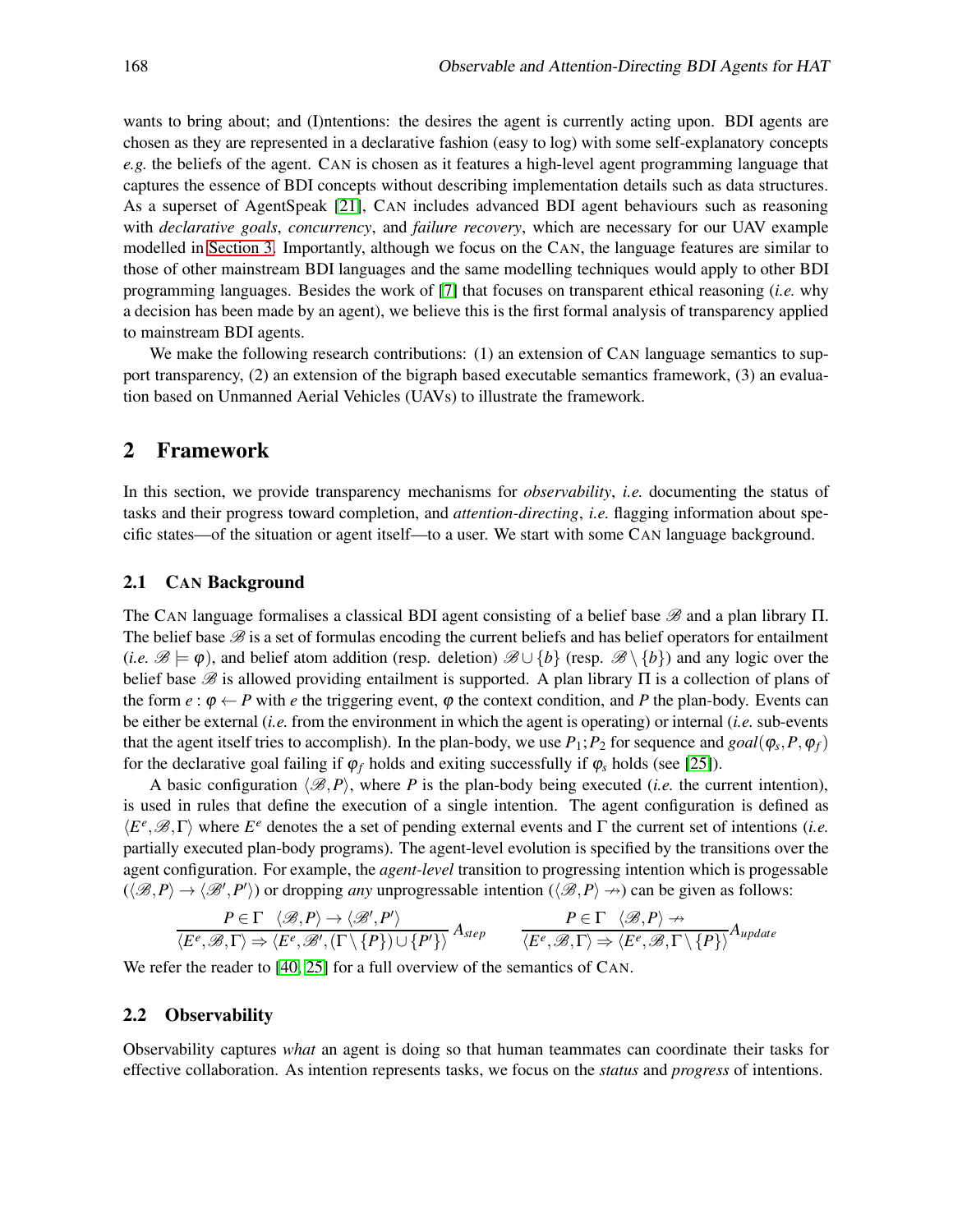wants to bring about; and (I)ntentions: the desires the agent is currently acting upon. BDI agents are chosen as they are represented in a declarative fashion (easy to log) with some self-explanatory concepts *e.g.* the beliefs of the agent. CAN is chosen as it features a high-level agent programming language that captures the essence of BDI concepts without describing implementation details such as data structures. As a superset of AgentSpeak [\[21\]](#page-7-7), CAN includes advanced BDI agent behaviours such as reasoning with *declarative goals*, *concurrency*, and *failure recovery*, which are necessary for our UAV example modelled in [Section 3.](#page-4-0) Importantly, although we focus on the CAN, the language features are similar to those of other mainstream BDI languages and the same modelling techniques would apply to other BDI programming languages. Besides the work of [\[7\]](#page-7-8) that focuses on transparent ethical reasoning (*i.e.* why a decision has been made by an agent), we believe this is the first formal analysis of transparency applied to mainstream BDI agents.

We make the following research contributions: (1) an extension of CAN language semantics to support transparency, (2) an extension of the bigraph based executable semantics framework, (3) an evaluation based on Unmanned Aerial Vehicles (UAVs) to illustrate the framework.

## 2 Framework

In this section, we provide transparency mechanisms for *observability*, *i.e.* documenting the status of tasks and their progress toward completion, and *attention-directing*, *i.e.* flagging information about specific states—of the situation or agent itself—to a user. We start with some CAN language background.

#### 2.1 CAN Background

The CAN language formalises a classical BDI agent consisting of a belief base  $\mathscr B$  and a plan library  $\Pi$ . The belief base  $B$  is a set of formulas encoding the current beliefs and has belief operators for entailment (*i.e.*  $\mathscr{B} \models \varphi$ ), and belief atom addition (resp. deletion)  $\mathscr{B} \cup \{b\}$  (resp.  $\mathscr{B} \setminus \{b\}$ ) and any logic over the belief base  $\mathcal B$  is allowed providing entailment is supported. A plan library  $\Pi$  is a collection of plans of the form  $e : \phi \leftarrow P$  with  $e$  the triggering event,  $\phi$  the context condition, and P the plan-body. Events can be either be external (*i.e.* from the environment in which the agent is operating) or internal (*i.e.* sub-events that the agent itself tries to accomplish). In the plan-body, we use  $P_1$ ;  $P_2$  for sequence and  $goal(\varphi_s, P, \varphi_f)$ for the declarative goal failing if  $\varphi_f$  holds and exiting successfully if  $\varphi_s$  holds (see [\[25\]](#page-8-8)).

A basic configuration  $\langle \mathcal{B}, P \rangle$ , where *P* is the plan-body being executed (*i.e.* the current intention), is used in rules that define the execution of a single intention. The agent configuration is defined as  $\langle E^e, \mathcal{B}, \Gamma \rangle$  where  $E^e$  denotes the a set of pending external events and  $\Gamma$  the current set of intentions (*i.e.* partially executed plan-body programs). The agent-level evolution is specified by the transitions over the agent configuration. For example, the *agent-level* transition to progressing intention which is progessable  $(\langle \mathcal{B}, P \rangle \to \langle \mathcal{B}', P' \rangle)$  or dropping *any* unprogressable intention  $(\langle \mathcal{B}, P \rangle \to)$  can be given as follows:

$$
\frac{P \in \Gamma \quad \langle \mathcal{B}, P \rangle \to \langle \mathcal{B}', P' \rangle}{\langle E^e, \mathcal{B}, \Gamma \rangle \Rightarrow \langle E^e, \mathcal{B}', (\Gamma \setminus \{P\}) \cup \{P'\} \rangle} A_{step} \qquad \frac{P \in \Gamma \quad \langle \mathcal{B}, P \rangle \nrightarrow}{\langle E^e, \mathcal{B}, \Gamma \rangle \Rightarrow \langle E^e, \mathcal{B}, \Gamma \setminus \{P\} \rangle} A_{update}
$$

We refer the reader to [\[40,](#page-8-6) [25\]](#page-8-8) for a full overview of the semantics of CAN.

#### 2.2 Observability

Observability captures *what* an agent is doing so that human teammates can coordinate their tasks for effective collaboration. As intention represents tasks, we focus on the *status* and *progress* of intentions.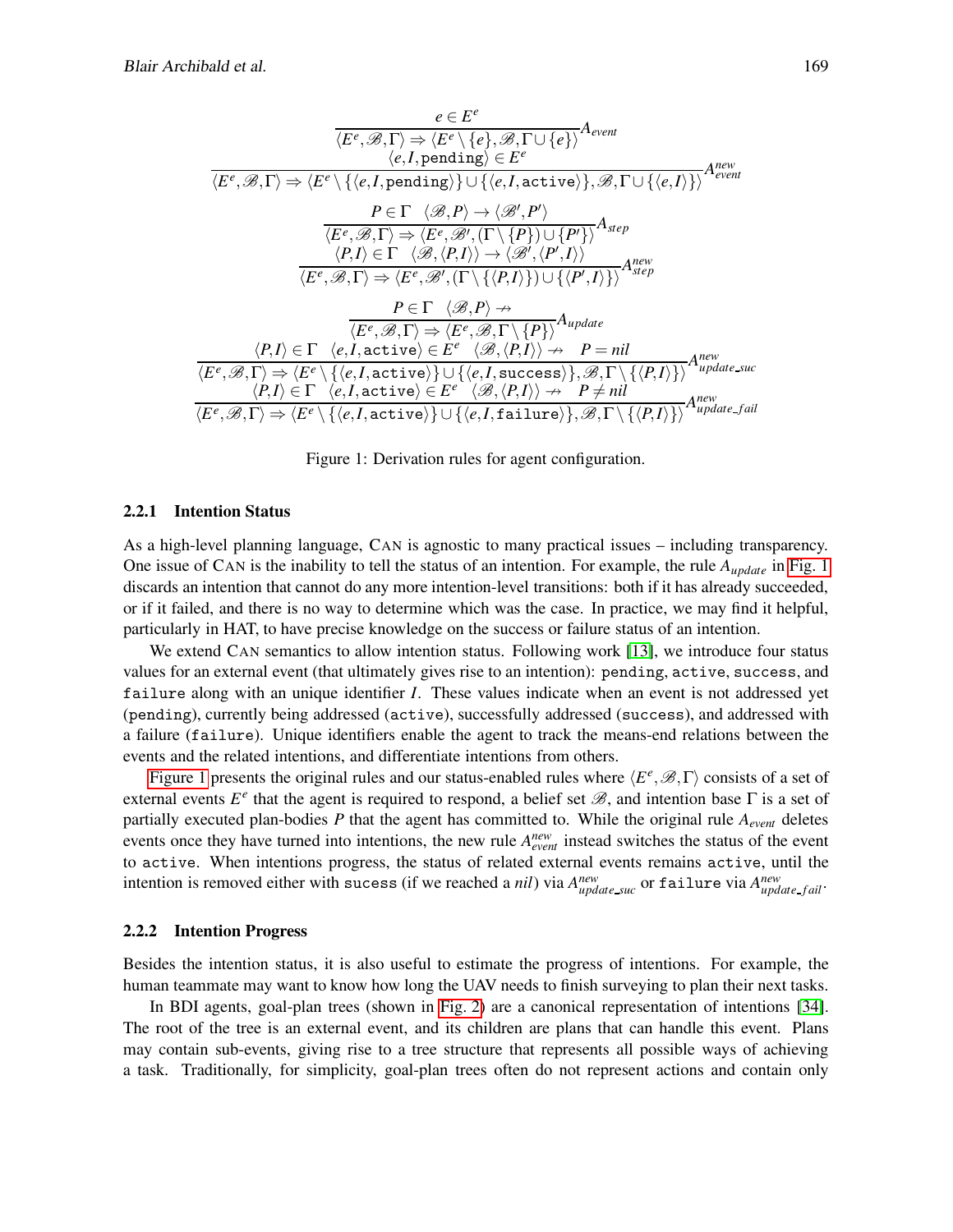$$
\frac{e \in E^{e}}{\langle E^{e}, \mathcal{B}, \Gamma \rangle \Rightarrow \langle E^{e} \setminus \{e\}, \mathcal{B}, \Gamma \cup \{e\} \rangle} A_{event}
$$
\n
$$
\langle e, I, \text{pending} \rangle \in E^{e}
$$
\n
$$
\overline{\langle E^{e}, \mathcal{B}, \Gamma \rangle} \Rightarrow \langle E^{e} \setminus \{\langle e, I, \text{pending} \rangle\} \cup \{\langle e, I, \text{active} \rangle\}, \mathcal{B}, \Gamma \cup \{\langle e, I \rangle\} \rangle} A_{event}
$$
\n
$$
P \in \Gamma \langle \mathcal{B}, P \rangle \rightarrow \langle \mathcal{B}', P' \rangle
$$
\n
$$
\overline{\langle E^{e}, \mathcal{B}, \Gamma \rangle} \Rightarrow \langle E^{e}, \mathcal{B}', (\Gamma \setminus \{P\}) \cup \{P'\} \rangle} A_{step}
$$
\n
$$
\langle P, I \rangle \in \Gamma \langle \mathcal{B}, \langle P, I \rangle \rangle \rightarrow \langle \mathcal{B}', \langle P', I \rangle \rangle
$$
\n
$$
\overline{\langle E^{e}, \mathcal{B}, \Gamma \rangle} \Rightarrow \langle E^{e}, \mathcal{B}', (\Gamma \setminus \{\langle P, I \rangle\}) \cup \{\langle P', I \rangle\} \rangle} A_{step}
$$
\n
$$
P \in \Gamma \langle \mathcal{B}, P \rangle \nrightarrow
$$
\n
$$
\overline{\langle E^{e}, \mathcal{B}, \Gamma \rangle} \Rightarrow \langle E^{e}, \mathcal{B}, \Gamma \setminus \{P\} \rangle} A_{update}
$$
\n
$$
\langle P, I \rangle \in \Gamma \langle e, I, \text{active} \rangle \in E^{e} \langle \mathcal{B}, \langle P, I \rangle \rangle \rightarrow P = nil
$$
\n
$$
\overline{\langle E^{e}, \mathcal{B}, \Gamma \rangle} \Rightarrow \langle E^{e} \setminus \{\langle e, I, \text{active} \rangle\} \cup \{\langle e, I, \text{success} \rangle\}, \mathcal{B}, \Gamma \setminus \{\langle P, I \rangle\} \rangle} A_{update\_succ}
$$
\n
$$
\langle P, I \rangle \in \Gamma \langle e, I, \text{active} \rangle \in E^{e} \langle \mathcal{B}, \langle P, I \rangle \rangle \rightarrow P \neq nil
$$
\n
$$
\langle E^{e}, \math
$$

<span id="page-2-0"></span>Figure 1: Derivation rules for agent configuration.

#### 2.2.1 Intention Status

As a high-level planning language, CAN is agnostic to many practical issues – including transparency. One issue of CAN is the inability to tell the status of an intention. For example, the rule *Aupdate* in [Fig. 1](#page-2-0) discards an intention that cannot do any more intention-level transitions: both if it has already succeeded, or if it failed, and there is no way to determine which was the case. In practice, we may find it helpful, particularly in HAT, to have precise knowledge on the success or failure status of an intention.

We extend CAN semantics to allow intention status. Following work [\[13\]](#page-7-9), we introduce four status values for an external event (that ultimately gives rise to an intention): pending, active, success, and failure along with an unique identifier *I*. These values indicate when an event is not addressed yet (pending), currently being addressed (active), successfully addressed (success), and addressed with a failure (failure). Unique identifiers enable the agent to track the means-end relations between the events and the related intentions, and differentiate intentions from others.

[Figure 1](#page-2-0) presents the original rules and our status-enabled rules where  $\langle E^e, \mathcal{B}, \Gamma \rangle$  consists of a set of external events  $E^e$  that the agent is required to respond, a belief set  $\mathcal{B}$ , and intention base  $\Gamma$  is a set of partially executed plan-bodies *P* that the agent has committed to. While the original rule *Aevent* deletes events once they have turned into intentions, the new rule  $A_{event}^{new}$  instead switches the status of the event to active. When intentions progress, the status of related external events remains active, until the intention is removed either with sucess (if we reached a *nil*) via  $A^{new}_{update\_suc}$  or failure via  $A^{new}_{update\_fail}$ .

#### 2.2.2 Intention Progress

Besides the intention status, it is also useful to estimate the progress of intentions. For example, the human teammate may want to know how long the UAV needs to finish surveying to plan their next tasks.

In BDI agents, goal-plan trees (shown in [Fig. 2\)](#page-3-0) are a canonical representation of intentions [\[34\]](#page-8-9). The root of the tree is an external event, and its children are plans that can handle this event. Plans may contain sub-events, giving rise to a tree structure that represents all possible ways of achieving a task. Traditionally, for simplicity, goal-plan trees often do not represent actions and contain only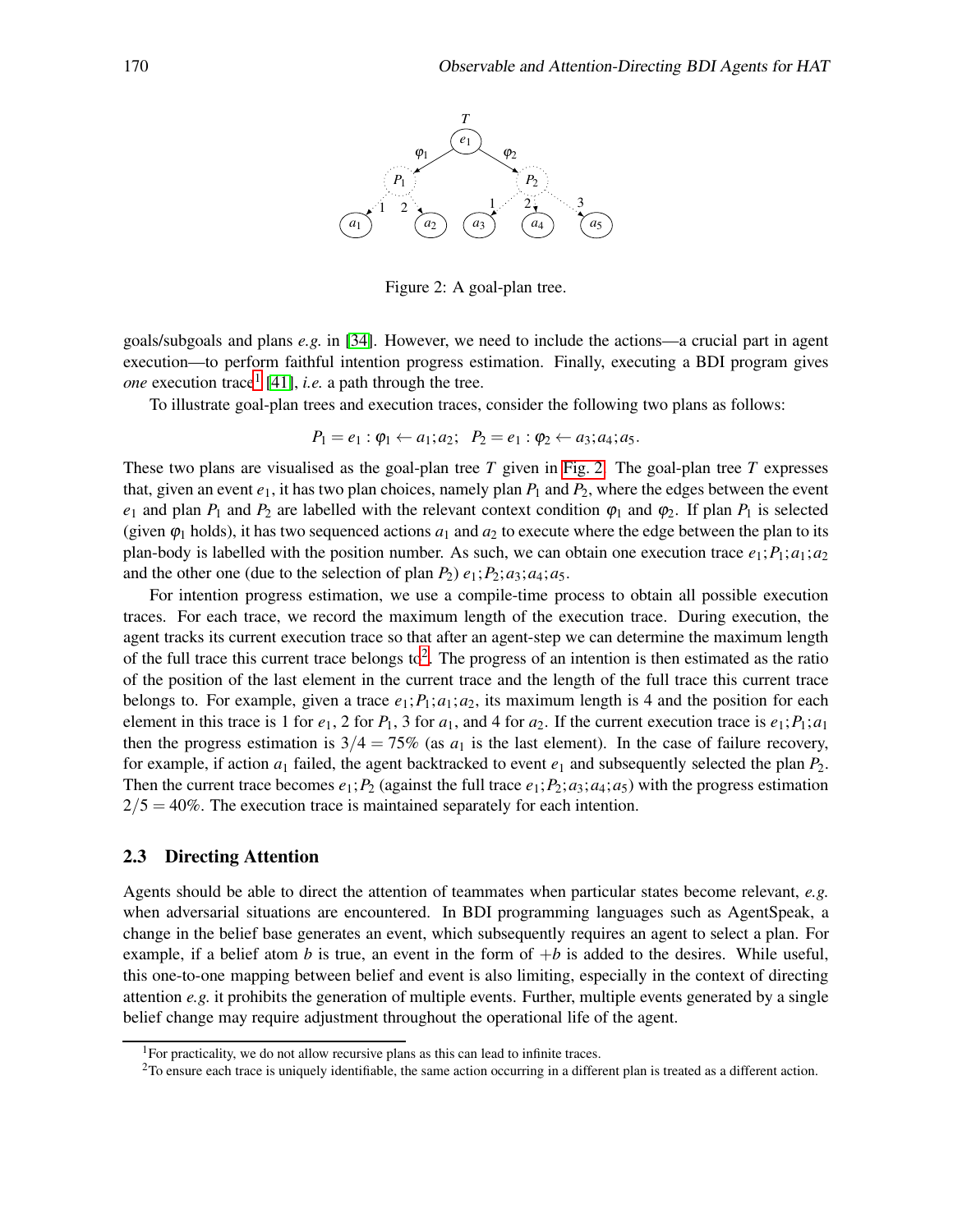

<span id="page-3-0"></span>Figure 2: A goal-plan tree.

goals/subgoals and plans *e.g.* in [\[34\]](#page-8-9). However, we need to include the actions—a crucial part in agent execution—to perform faithful intention progress estimation. Finally, executing a BDI program gives *one* execution trace<sup>[1](#page-3-1)</sup> [\[41\]](#page-8-10), *i.e.* a path through the tree.

To illustrate goal-plan trees and execution traces, consider the following two plans as follows:

$$
P_1 = e_1 : \varphi_1 \leftarrow a_1; a_2; \quad P_2 = e_1 : \varphi_2 \leftarrow a_3; a_4; a_5.
$$

These two plans are visualised as the goal-plan tree *T* given in [Fig. 2.](#page-3-0) The goal-plan tree *T* expresses that, given an event  $e_1$ , it has two plan choices, namely plan  $P_1$  and  $P_2$ , where the edges between the event *e*<sub>1</sub> and plan  $P_1$  and  $P_2$  are labelled with the relevant context condition  $\varphi_1$  and  $\varphi_2$ . If plan  $P_1$  is selected (given  $\varphi_1$  holds), it has two sequenced actions  $a_1$  and  $a_2$  to execute where the edge between the plan to its plan-body is labelled with the position number. As such, we can obtain one execution trace  $e_1$ ;  $P_1$ ;  $a_1$ ;  $a_2$ and the other one (due to the selection of plan  $P_2$ )  $e_1$ ;  $P_2$ ;  $a_3$ ;  $a_4$ ;  $a_5$ .

For intention progress estimation, we use a compile-time process to obtain all possible execution traces. For each trace, we record the maximum length of the execution trace. During execution, the agent tracks its current execution trace so that after an agent-step we can determine the maximum length of the full trace this current trace belongs to<sup>[2](#page-3-2)</sup>. The progress of an intention is then estimated as the ratio of the position of the last element in the current trace and the length of the full trace this current trace belongs to. For example, given a trace  $e_1$ ;  $P_1$ ;  $a_1$ ;  $a_2$ , its maximum length is 4 and the position for each element in this trace is 1 for  $e_1$ , 2 for  $P_1$ , 3 for  $a_1$ , and 4 for  $a_2$ . If the current execution trace is  $e_1$ ;  $P_1$ ;  $a_1$ then the progress estimation is  $3/4 = 75\%$  (as  $a_1$  is the last element). In the case of failure recovery, for example, if action  $a_1$  failed, the agent backtracked to event  $e_1$  and subsequently selected the plan  $P_2$ . Then the current trace becomes  $e_1$ ;  $P_2$  (against the full trace  $e_1$ ;  $P_2$ ;  $a_3$ ;  $a_4$ ;  $a_5$ ) with the progress estimation  $2/5 = 40\%$ . The execution trace is maintained separately for each intention.

#### 2.3 Directing Attention

Agents should be able to direct the attention of teammates when particular states become relevant, *e.g.* when adversarial situations are encountered. In BDI programming languages such as AgentSpeak, a change in the belief base generates an event, which subsequently requires an agent to select a plan. For example, if a belief atom  $b$  is true, an event in the form of  $+b$  is added to the desires. While useful, this one-to-one mapping between belief and event is also limiting, especially in the context of directing attention  $e.g.$  it prohibits the generation of multiple events. Further, multiple events generated by a single belief change may require adjustment throughout the operational life of the agent.

 $1$ For practicality, we do not allow recursive plans as this can lead to infinite traces.

<span id="page-3-2"></span><span id="page-3-1"></span><sup>&</sup>lt;sup>2</sup>To ensure each trace is uniquely identifiable, the same action occurring in a different plan is treated as a different action.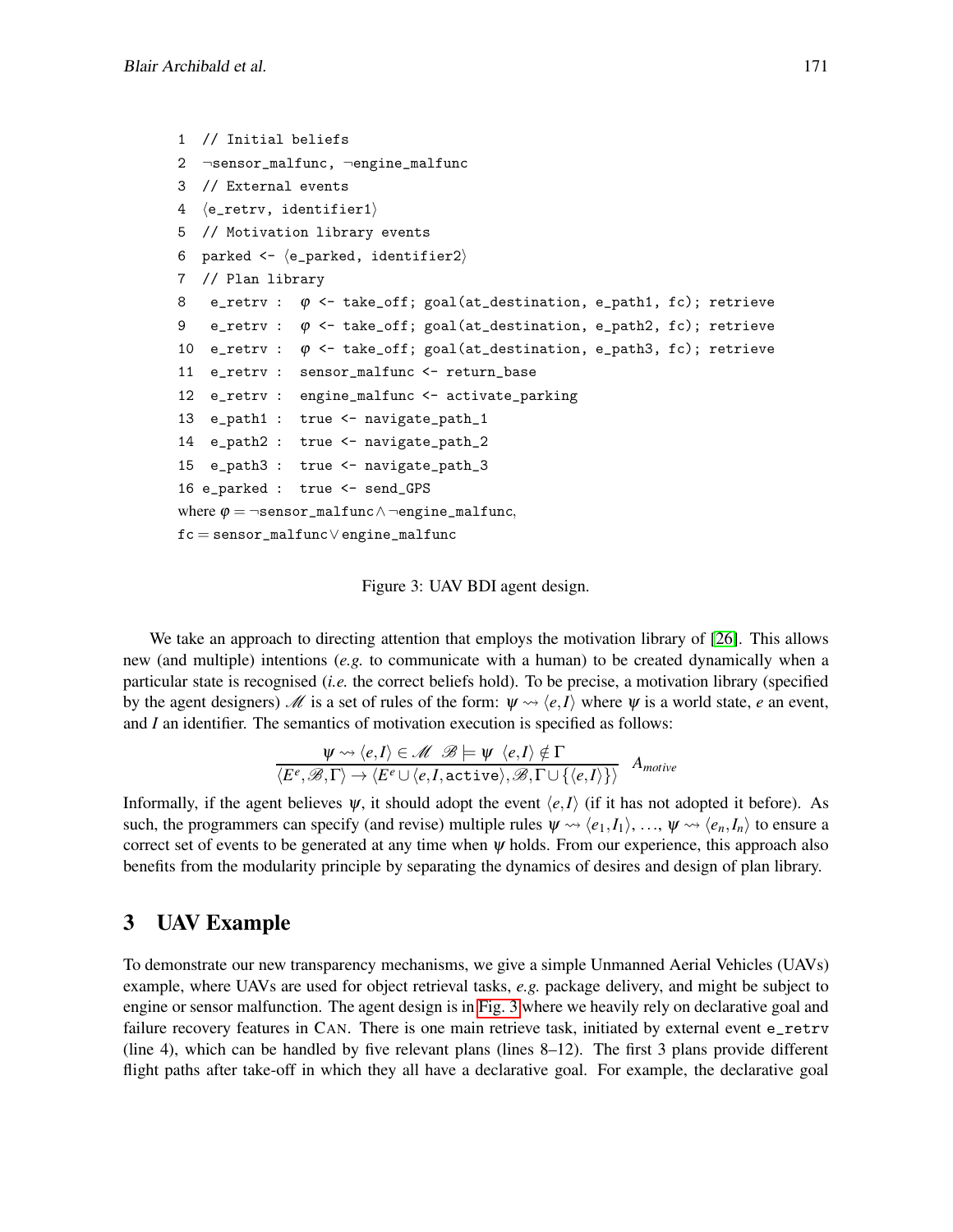```
1 // Initial beliefs
2 ¬sensor_malfunc, ¬engine_malfunc
3 // External events
4 \langlee_retrv, identifier1\rangle5 // Motivation library events
6 parked \leftarrow \langle e\_parked, identifier2 \rangle7 // Plan library
8 e_retrv : \varphi \leftarrow \text{take\_off; goal}(\text{at\_destination}, e\_path1, fc); \text{ retrieve}9 e_retrv : \varphi \leftarrow \text{take\_off; goal}(\text{at\_destination}, e\_path2, fc); \text{ retrieve}10 e_retrv : \varphi \leftarrow \text{take\_off; goal}(\text{at\_destination}, e\_path3, fc); \text{ retrieve}11 e_retrv : sensor_malfunc <- return_base
12 e_retrv : engine_malfunc <- activate_parking
13 e_path1 : true <- navigate_path_1
14 e_path2 : true <- navigate_path_2
15 e_path3 : true <- navigate_path_3
16 e_parked : true <- send_GPS
where \varphi = \neg \texttt{sensor\_malfunc} \land \neg \texttt{engine\_malfunc},fc = sensor_malfunc∨engine_malfunc
```

```
Figure 3: UAV BDI agent design.
```
We take an approach to directing attention that employs the motivation library of [\[26\]](#page-8-11). This allows new (and multiple) intentions (*e.g.* to communicate with a human) to be created dynamically when a particular state is recognised (*i.e.* the correct beliefs hold). To be precise, a motivation library (specified by the agent designers)  $\mathcal{M}$  is a set of rules of the form:  $\Psi \rightsquigarrow \langle e, I \rangle$  where  $\Psi$  is a world state, *e* an event, and *I* an identifier. The semantics of motivation execution is specified as follows:

$$
\frac{\psi \rightsquigarrow \langle e, I \rangle \in \mathcal{M} \mathcal{B} \models \psi \langle e, I \rangle \notin \Gamma}{\langle E^e, \mathcal{B}, \Gamma \rangle \rightarrow \langle E^e \cup \langle e, I, \text{active} \rangle, \mathcal{B}, \Gamma \cup \{\langle e, I \rangle\}\rangle} A_{motive}
$$

Informally, if the agent believes  $\psi$ , it should adopt the event  $\langle e, I \rangle$  (if it has not adopted it before). As such, the programmers can specify (and revise) multiple rules  $\psi \rightsquigarrow \langle e_1, I_1 \rangle, \dots, \psi \rightsquigarrow \langle e_n, I_n \rangle$  to ensure a correct set of events to be generated at any time when  $\psi$  holds. From our experience, this approach also benefits from the modularity principle by separating the dynamics of desires and design of plan library.

# <span id="page-4-0"></span>3 UAV Example

To demonstrate our new transparency mechanisms, we give a simple Unmanned Aerial Vehicles (UAVs) example, where UAVs are used for object retrieval tasks, *e.g.* package delivery, and might be subject to engine or sensor malfunction. The agent design is in [Fig. 3](#page-4-1) where we heavily rely on declarative goal and failure recovery features in CAN. There is one main retrieve task, initiated by external event e\_retrv (line 4), which can be handled by five relevant plans (lines 8–12). The first 3 plans provide different flight paths after take-off in which they all have a declarative goal. For example, the declarative goal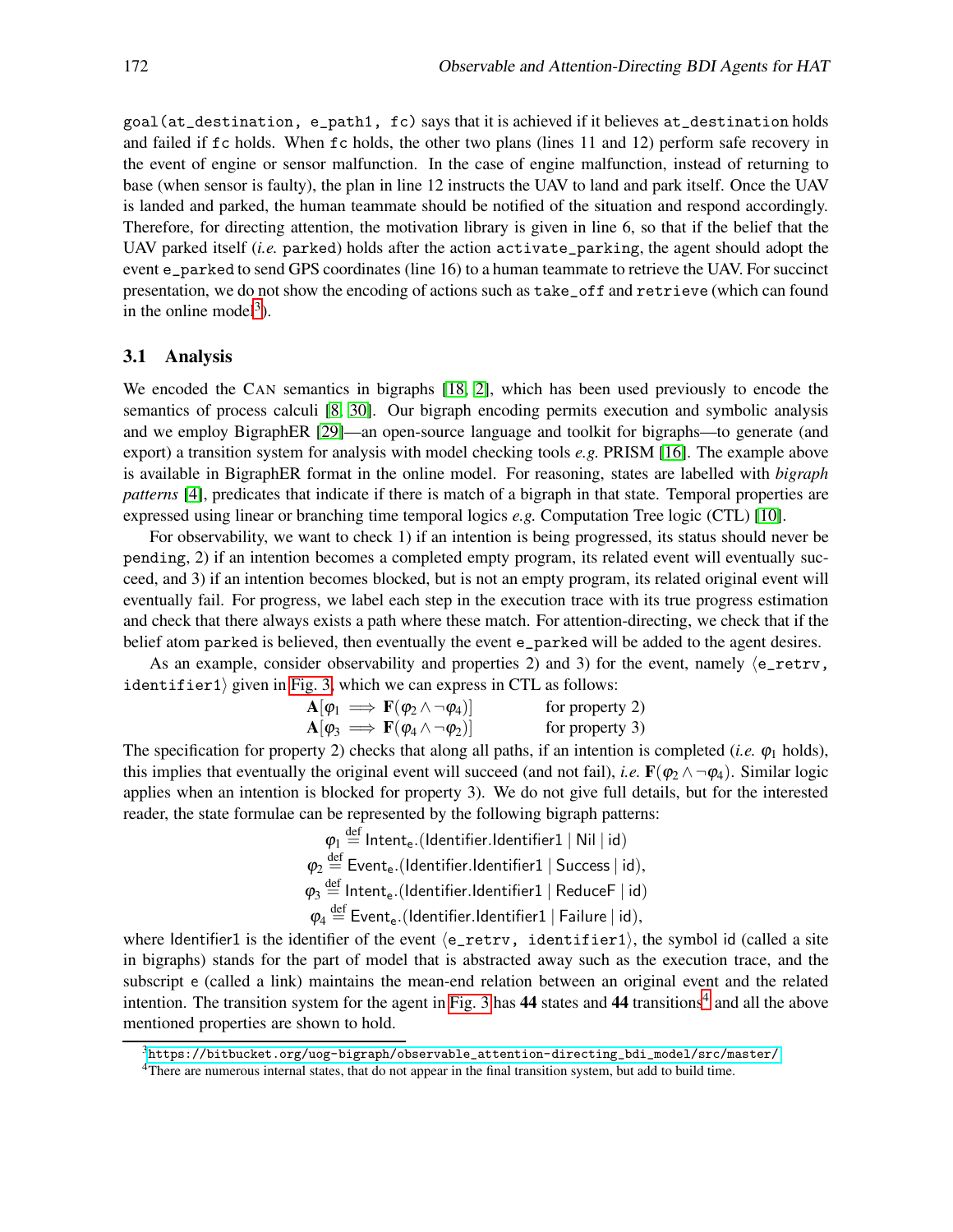goal(at\_destination, e\_path1, fc) says that it is achieved if it believes at\_destination holds and failed if fc holds. When fc holds, the other two plans (lines 11 and 12) perform safe recovery in the event of engine or sensor malfunction. In the case of engine malfunction, instead of returning to base (when sensor is faulty), the plan in line 12 instructs the UAV to land and park itself. Once the UAV is landed and parked, the human teammate should be notified of the situation and respond accordingly. Therefore, for directing attention, the motivation library is given in line 6, so that if the belief that the UAV parked itself (*i.e.* parked) holds after the action activate\_parking, the agent should adopt the event e\_parked to send GPS coordinates (line 16) to a human teammate to retrieve the UAV. For succinct presentation, we do not show the encoding of actions such as take\_off and retrieve (which can found in the online model<sup>[3](#page-5-0)</sup>).

#### 3.1 Analysis

We encoded the CAN semantics in bigraphs [\[18,](#page-7-5) [2\]](#page-7-4), which has been used previously to encode the semantics of process calculi [\[8,](#page-7-10) [30\]](#page-8-12). Our bigraph encoding permits execution and symbolic analysis and we employ BigraphER [\[29\]](#page-8-13)—an open-source language and toolkit for bigraphs—to generate (and export) a transition system for analysis with model checking tools *e.g.* PRISM [\[16\]](#page-7-11). The example above is available in BigraphER format in the online model. For reasoning, states are labelled with *bigraph patterns* [\[4\]](#page-7-12), predicates that indicate if there is match of a bigraph in that state. Temporal properties are expressed using linear or branching time temporal logics *e.g.* Computation Tree logic (CTL) [\[10\]](#page-7-13).

For observability, we want to check 1) if an intention is being progressed, its status should never be pending, 2) if an intention becomes a completed empty program, its related event will eventually succeed, and 3) if an intention becomes blocked, but is not an empty program, its related original event will eventually fail. For progress, we label each step in the execution trace with its true progress estimation and check that there always exists a path where these match. For attention-directing, we check that if the belief atom parked is believed, then eventually the event e\_parked will be added to the agent desires.

As an example, consider observability and properties 2) and 3) for the event, namely  $\langle e$ \_retrv, identifier1) given in [Fig. 3,](#page-4-1) which we can express in CTL as follows:

$$
\mathbf{A}[\varphi_1 \implies \mathbf{F}(\varphi_2 \land \neg \varphi_4)] \qquad \text{for property 2)}
$$
  
\n
$$
\mathbf{A}[\varphi_3 \implies \mathbf{F}(\varphi_4 \land \neg \varphi_2)] \qquad \text{for property 3}
$$

The specification for property 2) checks that along all paths, if an intention is completed (*i.e.*  $\varphi_1$  holds), this implies that eventually the original event will succeed (and not fail), *i.e.*  $\mathbf{F}(\varphi_2 \wedge \neg \varphi_4)$ . Similar logic applies when an intention is blocked for property 3). We do not give full details, but for the interested reader, the state formulae can be represented by the following bigraph patterns:

> $\boldsymbol{\varphi}_{1} \stackrel{\text{def}}{=}$  Intent<sub>e</sub>.(Identifier.Identifier1 | Nil | id)  $\varphi_2 \stackrel{\text{def}}{=}$  Event $_{\text{e}}$ .(Identifier.Identifier1 | Success | id),  $\varphi_3 \stackrel{\text{def}}{=}$  Intent<sub>e</sub>.(Identifier.Identifier1 | ReduceF | id)  $\varphi_4 \stackrel{\text{def}}{=}$  Event<sub>e</sub>.(Identifier.Identifier1 | Failure | id),

where Identifier1 is the identifier of the event  $\langle e_{\text{}r}$  retrv, identifier1), the symbol id (called a site in bigraphs) stands for the part of model that is abstracted away such as the execution trace, and the subscript e (called a link) maintains the mean-end relation between an original event and the related intention. The transition system for the agent in [Fig. 3](#page-4-1) has  $44$  $44$  states and  $44$  transitions<sup>4</sup> and all the above mentioned properties are shown to hold.

<sup>3</sup>[https://bitbucket.org/uog-bigraph/observable\\_attention-directing\\_bdi\\_model/src/master/](https://bitbucket.org/uog-bigraph/observable_attention-directing_bdi_model/src/master/)

<span id="page-5-1"></span><span id="page-5-0"></span><sup>4</sup>There are numerous internal states, that do not appear in the final transition system, but add to build time.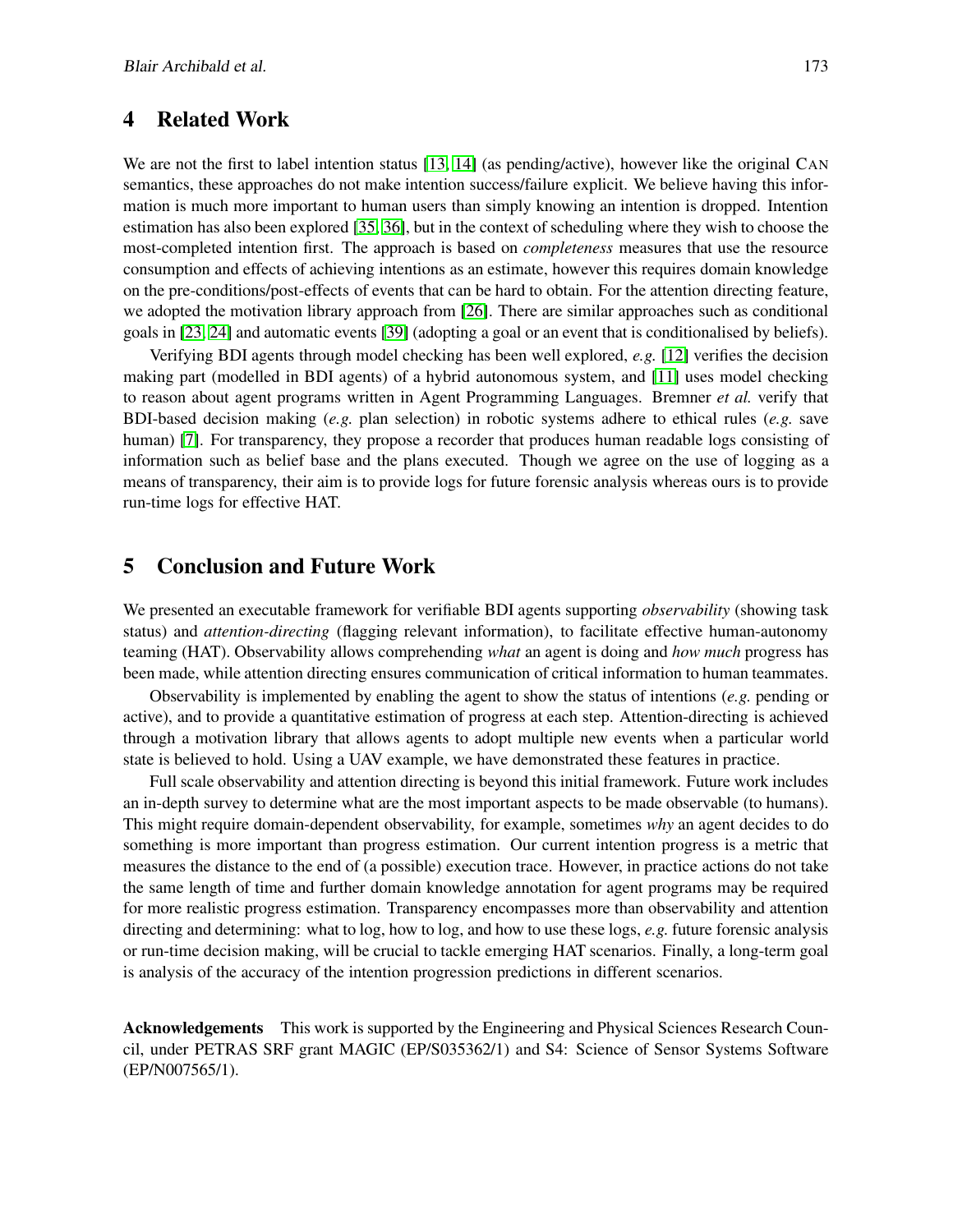## 4 Related Work

We are not the first to label intention status [\[13,](#page-7-9) [14\]](#page-7-14) (as pending/active), however like the original CAN semantics, these approaches do not make intention success/failure explicit. We believe having this information is much more important to human users than simply knowing an intention is dropped. Intention estimation has also been explored [\[35,](#page-8-14) [36\]](#page-8-15), but in the context of scheduling where they wish to choose the most-completed intention first. The approach is based on *completeness* measures that use the resource consumption and effects of achieving intentions as an estimate, however this requires domain knowledge on the pre-conditions/post-effects of events that can be hard to obtain. For the attention directing feature, we adopted the motivation library approach from [\[26\]](#page-8-11). There are similar approaches such as conditional goals in [\[23,](#page-8-16) [24\]](#page-8-17) and automatic events [\[39\]](#page-8-18) (adopting a goal or an event that is conditionalised by beliefs).

Verifying BDI agents through model checking has been well explored, *e.g.* [\[12\]](#page-7-15) verifies the decision making part (modelled in BDI agents) of a hybrid autonomous system, and [\[11\]](#page-7-16) uses model checking to reason about agent programs written in Agent Programming Languages. Bremner *et al.* verify that BDI-based decision making (*e.g.* plan selection) in robotic systems adhere to ethical rules (*e.g.* save human) [\[7\]](#page-7-8). For transparency, they propose a recorder that produces human readable logs consisting of information such as belief base and the plans executed. Though we agree on the use of logging as a means of transparency, their aim is to provide logs for future forensic analysis whereas ours is to provide run-time logs for effective HAT.

# 5 Conclusion and Future Work

We presented an executable framework for verifiable BDI agents supporting *observability* (showing task status) and *attention-directing* (flagging relevant information), to facilitate effective human-autonomy teaming (HAT). Observability allows comprehending *what* an agent is doing and *how much* progress has been made, while attention directing ensures communication of critical information to human teammates.

Observability is implemented by enabling the agent to show the status of intentions (*e.g.* pending or active), and to provide a quantitative estimation of progress at each step. Attention-directing is achieved through a motivation library that allows agents to adopt multiple new events when a particular world state is believed to hold. Using a UAV example, we have demonstrated these features in practice.

Full scale observability and attention directing is beyond this initial framework. Future work includes an in-depth survey to determine what are the most important aspects to be made observable (to humans). This might require domain-dependent observability, for example, sometimes *why* an agent decides to do something is more important than progress estimation. Our current intention progress is a metric that measures the distance to the end of (a possible) execution trace. However, in practice actions do not take the same length of time and further domain knowledge annotation for agent programs may be required for more realistic progress estimation. Transparency encompasses more than observability and attention directing and determining: what to log, how to log, and how to use these logs, *e.g.* future forensic analysis or run-time decision making, will be crucial to tackle emerging HAT scenarios. Finally, a long-term goal is analysis of the accuracy of the intention progression predictions in different scenarios.

Acknowledgements This work is supported by the Engineering and Physical Sciences Research Council, under PETRAS SRF grant MAGIC (EP/S035362/1) and S4: Science of Sensor Systems Software (EP/N007565/1).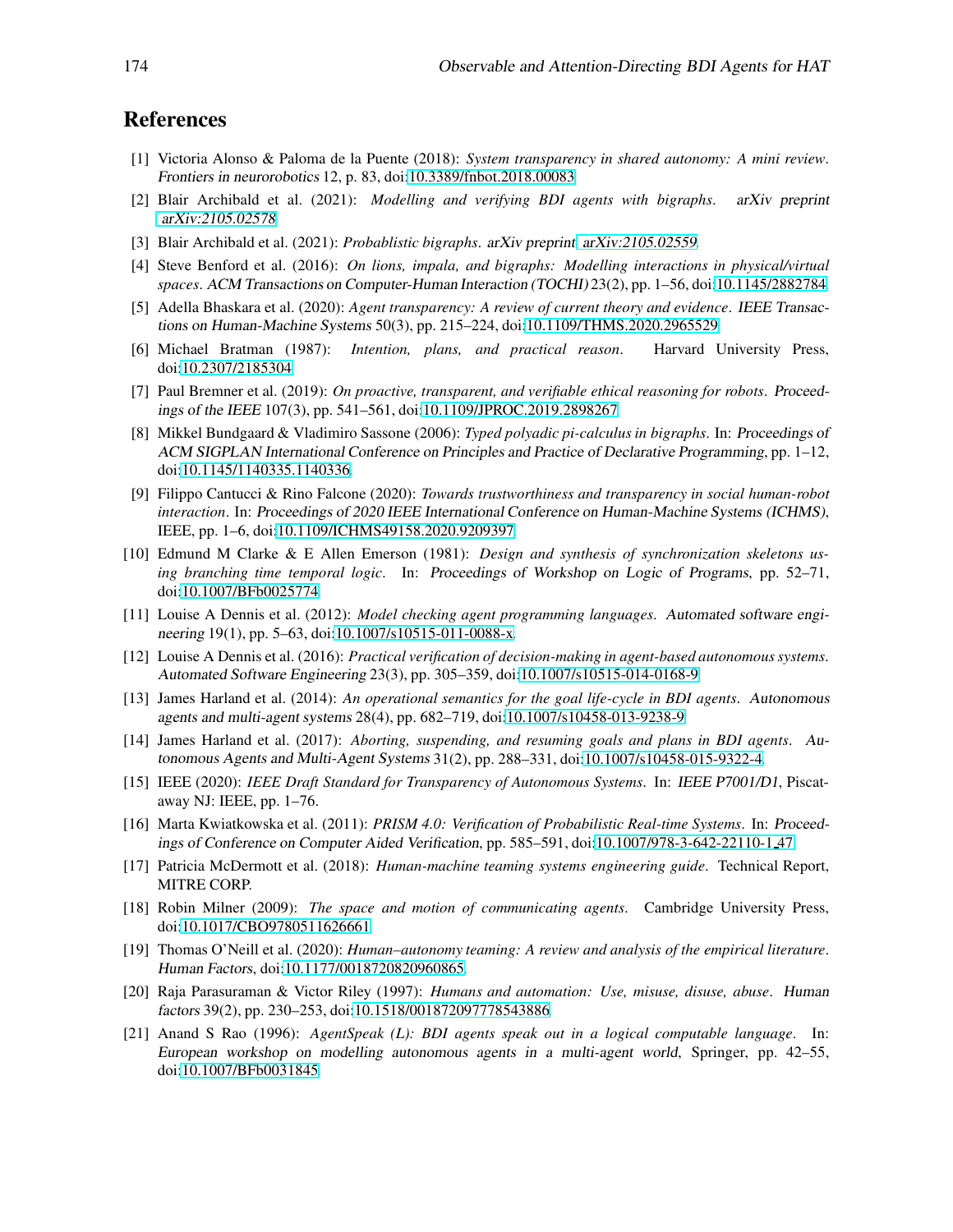# References

- [1] Victoria Alonso & Paloma de la Puente (2018): *System transparency in shared autonomy: A mini review*. Frontiers in neurorobotics 12, p. 83, doi[:10.3389/fnbot.2018.00083.](http://dx.doi.org/10.3389/fnbot.2018.00083)
- <span id="page-7-4"></span>[2] Blair Archibald et al. (2021): *Modelling and verifying BDI agents with bigraphs*. arXiv preprint [arXiv:2105.02578](https://arxiv.org/abs/2105.02578).
- <span id="page-7-12"></span>[3] Blair Archibald et al. (2021): *Probablistic bigraphs*. arXiv preprint [arXiv:2105.02559](https://arxiv.org/abs/2105.02559).
- [4] Steve Benford et al. (2016): *On lions, impala, and bigraphs: Modelling interactions in physical/virtual spaces*. ACM Transactions on Computer-Human Interaction (TOCHI) 23(2), pp. 1–56, doi[:10.1145/2882784.](http://dx.doi.org/10.1145/2882784)
- <span id="page-7-2"></span>[5] Adella Bhaskara et al. (2020): *Agent transparency: A review of current theory and evidence*. IEEE Transactions on Human-Machine Systems 50(3), pp. 215–224, doi[:10.1109/THMS.2020.2965529.](http://dx.doi.org/10.1109/THMS.2020.2965529)
- <span id="page-7-8"></span><span id="page-7-6"></span>[6] Michael Bratman (1987): *Intention, plans, and practical reason*. Harvard University Press, doi[:10.2307/2185304.](http://dx.doi.org/10.2307/2185304)
- [7] Paul Bremner et al. (2019): *On proactive, transparent, and verifiable ethical reasoning for robots*. Proceedings of the IEEE 107(3), pp. 541–561, doi[:10.1109/JPROC.2019.2898267.](http://dx.doi.org/10.1109/JPROC.2019.2898267)
- <span id="page-7-10"></span>[8] Mikkel Bundgaard & Vladimiro Sassone (2006): *Typed polyadic pi-calculus in bigraphs*. In: Proceedings of ACM SIGPLAN International Conference on Principles and Practice of Declarative Programming, pp. 1–12, doi[:10.1145/1140335.1140336.](http://dx.doi.org/10.1145/1140335.1140336)
- [9] Filippo Cantucci & Rino Falcone (2020): *Towards trustworthiness and transparency in social human-robot interaction*. In: Proceedings of <sup>2020</sup> IEEE International Conference on Human-Machine Systems (ICHMS), IEEE, pp. 1–6, doi[:10.1109/ICHMS49158.2020.9209397.](http://dx.doi.org/10.1109/ICHMS49158.2020.9209397)
- <span id="page-7-13"></span>[10] Edmund M Clarke & E Allen Emerson (1981): *Design and synthesis of synchronization skeletons using branching time temporal logic*. In: Proceedings of Workshop on Logic of Programs, pp. 52–71, doi[:10.1007/BFb0025774.](http://dx.doi.org/10.1007/BFb0025774)
- <span id="page-7-16"></span>[11] Louise A Dennis et al. (2012): *Model checking agent programming languages*. Automated software engineering 19(1), pp. 5–63, doi[:10.1007/s10515-011-0088-x.](http://dx.doi.org/10.1007/s10515-011-0088-x)
- <span id="page-7-15"></span>[12] Louise A Dennis et al. (2016): *Practical verification of decision-making in agent-based autonomous systems*. Automated Software Engineering 23(3), pp. 305–359, doi[:10.1007/s10515-014-0168-9.](http://dx.doi.org/10.1007/s10515-014-0168-9)
- <span id="page-7-9"></span>[13] James Harland et al. (2014): *An operational semantics for the goal life-cycle in BDI agents*. Autonomous agents and multi-agent systems 28(4), pp. 682–719, doi[:10.1007/s10458-013-9238-9.](http://dx.doi.org/10.1007/s10458-013-9238-9)
- <span id="page-7-14"></span>[14] James Harland et al. (2017): *Aborting, suspending, and resuming goals and plans in BDI agents*. Autonomous Agents and Multi-Agent Systems 31(2), pp. 288–331, doi[:10.1007/s10458-015-9322-4.](http://dx.doi.org/10.1007/s10458-015-9322-4)
- <span id="page-7-1"></span>[15] IEEE (2020): *IEEE Draft Standard for Transparency of Autonomous Systems*. In: IEEE P7001/D1, Piscataway NJ: IEEE, pp. 1–76.
- <span id="page-7-11"></span>[16] Marta Kwiatkowska et al. (2011): *PRISM 4.0: Verification of Probabilistic Real-time Systems*. In: Proceedings of Conference on Computer Aided Verification, pp. 585–591, doi[:10.1007/978-3-642-22110-1](http://dx.doi.org/10.1007/978-3-642-22110-1_47) 47.
- <span id="page-7-3"></span>[17] Patricia McDermott et al. (2018): *Human-machine teaming systems engineering guide*. Technical Report, MITRE CORP.
- <span id="page-7-5"></span>[18] Robin Milner (2009): *The space and motion of communicating agents*. Cambridge University Press, doi[:10.1017/CBO9780511626661.](http://dx.doi.org/10.1017/CBO9780511626661)
- <span id="page-7-0"></span>[19] Thomas O'Neill et al. (2020): *Human–autonomy teaming: A review and analysis of the empirical literature*. Human Factors, doi[:10.1177/0018720820960865.](http://dx.doi.org/10.1177/0018720820960865)
- [20] Raja Parasuraman & Victor Riley (1997): *Humans and automation: Use, misuse, disuse, abuse*. Human factors 39(2), pp. 230–253, doi[:10.1518/001872097778543886.](http://dx.doi.org/10.1518/001872097778543886)
- <span id="page-7-7"></span>[21] Anand S Rao (1996): *AgentSpeak (L): BDI agents speak out in a logical computable language*. In: European workshop on modelling autonomous agents in <sup>a</sup> multi-agent world, Springer, pp. 42–55, doi[:10.1007/BFb0031845.](http://dx.doi.org/10.1007/BFb0031845)